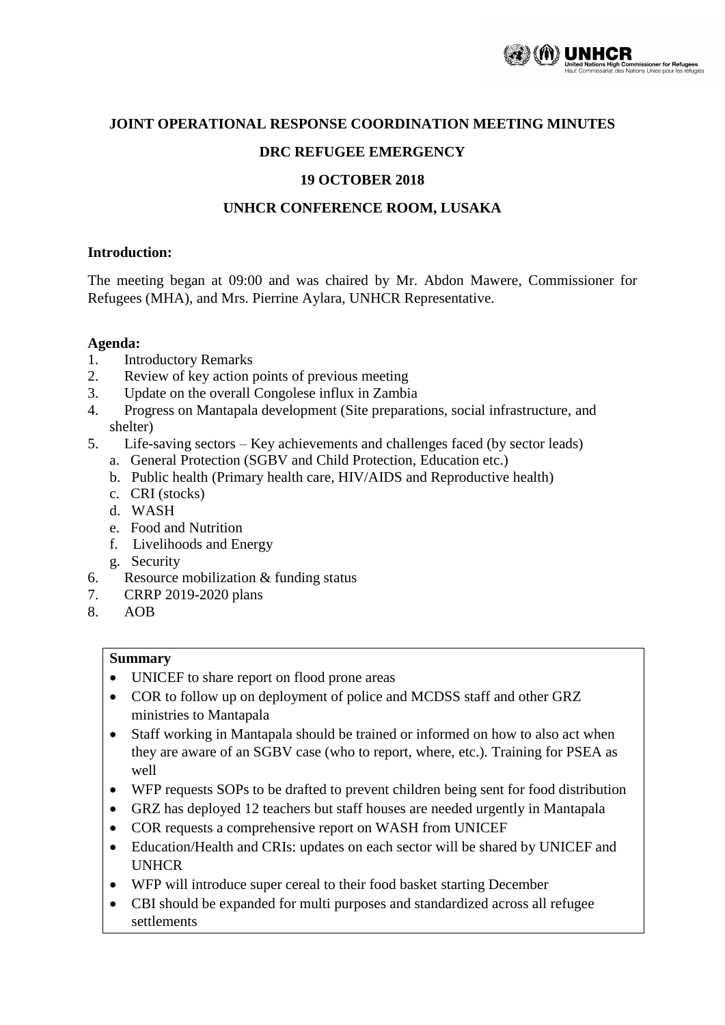

# **JOINT OPERATIONAL RESPONSE COORDINATION MEETING MINUTES**

# **DRC REFUGEE EMERGENCY**

### **19 OCTOBER 2018**

#### **UNHCR CONFERENCE ROOM, LUSAKA**

#### **Introduction:**

The meeting began at 09:00 and was chaired by Mr. Abdon Mawere, Commissioner for Refugees (MHA), and Mrs. Pierrine Aylara, UNHCR Representative.

### **Agenda:**

- 1. Introductory Remarks
- 2. Review of key action points of previous meeting
- 3. Update on the overall Congolese influx in Zambia
- 4. Progress on Mantapala development (Site preparations, social infrastructure, and shelter)
- 5. Life-saving sectors Key achievements and challenges faced (by sector leads)
	- a. General Protection (SGBV and Child Protection, Education etc.)
	- b. Public health (Primary health care, HIV/AIDS and Reproductive health)
	- c. CRI (stocks)
	- d. WASH
	- e. Food and Nutrition
	- f. Livelihoods and Energy
	- g. Security
- 6. Resource mobilization & funding status
- 7. CRRP 2019-2020 plans
- 8. AOB

#### **Summary**

- UNICEF to share report on flood prone areas
- COR to follow up on deployment of police and MCDSS staff and other GRZ ministries to Mantapala
- Staff working in Mantapala should be trained or informed on how to also act when they are aware of an SGBV case (who to report, where, etc.). Training for PSEA as well
- WFP requests SOPs to be drafted to prevent children being sent for food distribution
- GRZ has deployed 12 teachers but staff houses are needed urgently in Mantapala
- COR requests a comprehensive report on WASH from UNICEF
- Education/Health and CRIs: updates on each sector will be shared by UNICEF and UNHCR
- WFP will introduce super cereal to their food basket starting December
- CBI should be expanded for multi purposes and standardized across all refugee settlements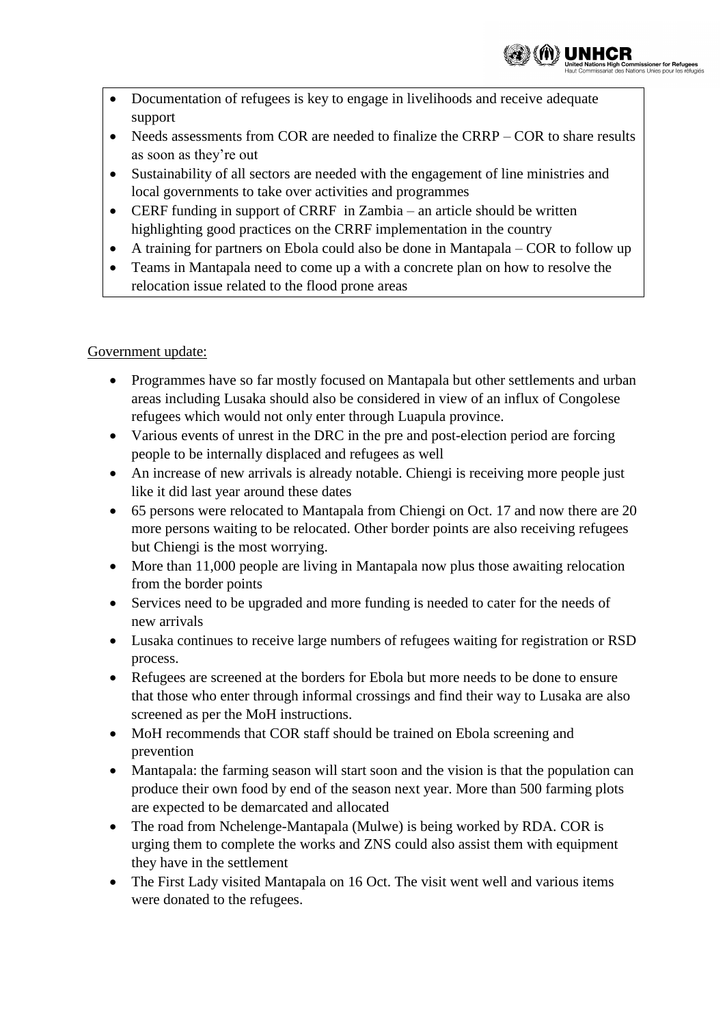

- Documentation of refugees is key to engage in livelihoods and receive adequate support
- Needs assessments from COR are needed to finalize the CRRP COR to share results as soon as they're out
- Sustainability of all sectors are needed with the engagement of line ministries and local governments to take over activities and programmes
- CERF funding in support of CRRF in Zambia an article should be written highlighting good practices on the CRRF implementation in the country
- A training for partners on Ebola could also be done in Mantapala COR to follow up
- Teams in Mantapala need to come up a with a concrete plan on how to resolve the relocation issue related to the flood prone areas

# Government update:

- Programmes have so far mostly focused on Mantapala but other settlements and urban areas including Lusaka should also be considered in view of an influx of Congolese refugees which would not only enter through Luapula province.
- Various events of unrest in the DRC in the pre and post-election period are forcing people to be internally displaced and refugees as well
- An increase of new arrivals is already notable. Chiengi is receiving more people just like it did last year around these dates
- 65 persons were relocated to Mantapala from Chiengi on Oct. 17 and now there are 20 more persons waiting to be relocated. Other border points are also receiving refugees but Chiengi is the most worrying.
- More than 11,000 people are living in Mantapala now plus those awaiting relocation from the border points
- Services need to be upgraded and more funding is needed to cater for the needs of new arrivals
- Lusaka continues to receive large numbers of refugees waiting for registration or RSD process.
- Refugees are screened at the borders for Ebola but more needs to be done to ensure that those who enter through informal crossings and find their way to Lusaka are also screened as per the MoH instructions.
- MoH recommends that COR staff should be trained on Ebola screening and prevention
- Mantapala: the farming season will start soon and the vision is that the population can produce their own food by end of the season next year. More than 500 farming plots are expected to be demarcated and allocated
- The road from Nchelenge-Mantapala (Mulwe) is being worked by RDA. COR is urging them to complete the works and ZNS could also assist them with equipment they have in the settlement
- The First Lady visited Mantapala on 16 Oct. The visit went well and various items were donated to the refugees.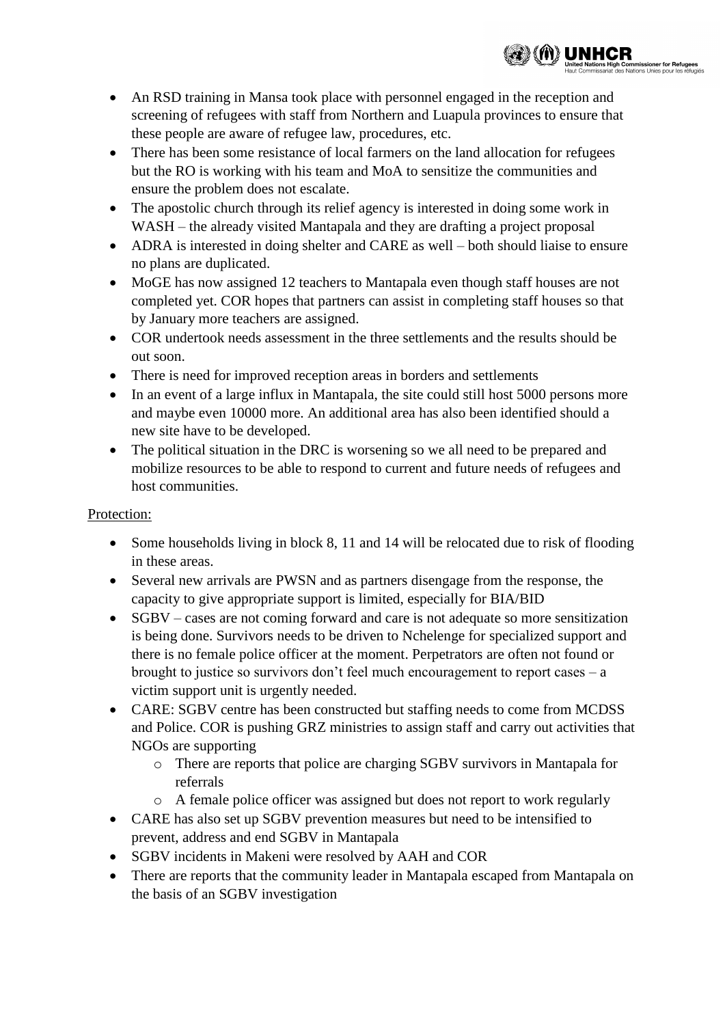• An RSD training in Mansa took place with personnel engaged in the reception and screening of refugees with staff from Northern and Luapula provinces to ensure that these people are aware of refugee law, procedures, etc.

▒▒ 《イト〉 UNHCR

**imissioner for Refugees**<br>tions Linies pour les réfugiés

- There has been some resistance of local farmers on the land allocation for refugees but the RO is working with his team and MoA to sensitize the communities and ensure the problem does not escalate.
- The apostolic church through its relief agency is interested in doing some work in WASH – the already visited Mantapala and they are drafting a project proposal
- ADRA is interested in doing shelter and CARE as well both should liaise to ensure no plans are duplicated.
- MoGE has now assigned 12 teachers to Mantapala even though staff houses are not completed yet. COR hopes that partners can assist in completing staff houses so that by January more teachers are assigned.
- COR undertook needs assessment in the three settlements and the results should be out soon.
- There is need for improved reception areas in borders and settlements
- In an event of a large influx in Mantapala, the site could still host 5000 persons more and maybe even 10000 more. An additional area has also been identified should a new site have to be developed.
- The political situation in the DRC is worsening so we all need to be prepared and mobilize resources to be able to respond to current and future needs of refugees and host communities.

## Protection:

- Some households living in block 8, 11 and 14 will be relocated due to risk of flooding in these areas.
- Several new arrivals are PWSN and as partners disengage from the response, the capacity to give appropriate support is limited, especially for BIA/BID
- SGBV cases are not coming forward and care is not adequate so more sensitization is being done. Survivors needs to be driven to Nchelenge for specialized support and there is no female police officer at the moment. Perpetrators are often not found or brought to justice so survivors don't feel much encouragement to report cases – a victim support unit is urgently needed.
- CARE: SGBV centre has been constructed but staffing needs to come from MCDSS and Police. COR is pushing GRZ ministries to assign staff and carry out activities that NGOs are supporting
	- o There are reports that police are charging SGBV survivors in Mantapala for referrals
	- o A female police officer was assigned but does not report to work regularly
- CARE has also set up SGBV prevention measures but need to be intensified to prevent, address and end SGBV in Mantapala
- SGBV incidents in Makeni were resolved by AAH and COR
- There are reports that the community leader in Mantapala escaped from Mantapala on the basis of an SGBV investigation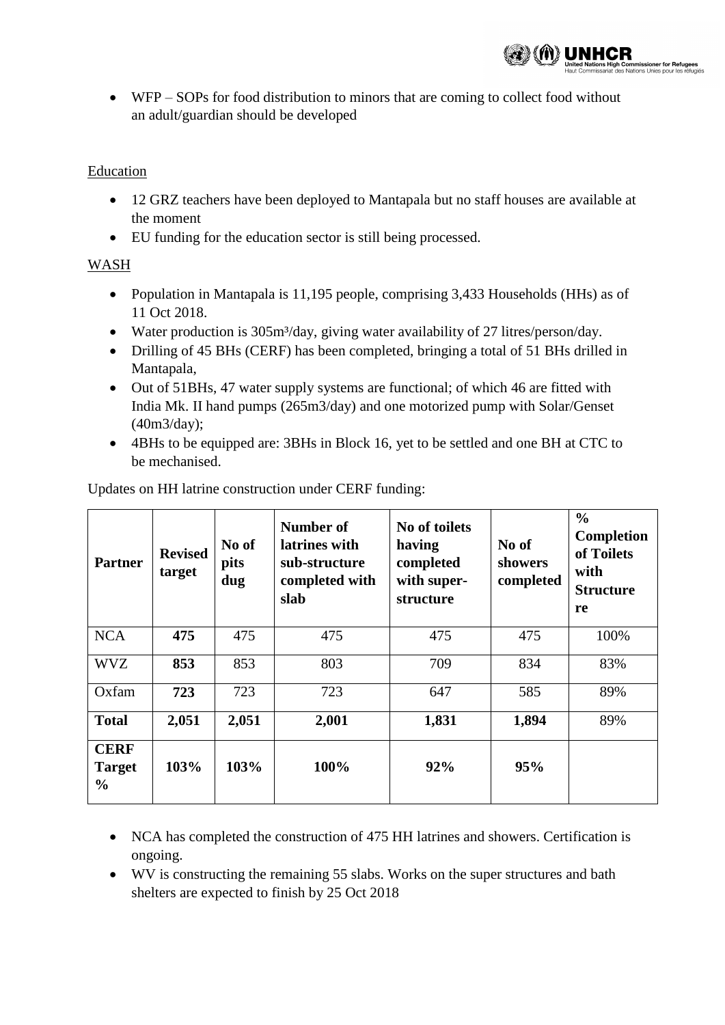

 WFP – SOPs for food distribution to minors that are coming to collect food without an adult/guardian should be developed

#### **Education**

- 12 GRZ teachers have been deployed to Mantapala but no staff houses are available at the moment
- EU funding for the education sector is still being processed.

### WASH

- Population in Mantapala is 11,195 people, comprising 3,433 Households (HHs) as of 11 Oct 2018.
- Water production is 305m<sup>3</sup>/day, giving water availability of 27 litres/person/day.
- Drilling of 45 BHs (CERF) has been completed, bringing a total of 51 BHs drilled in Mantapala,
- Out of 51BHs, 47 water supply systems are functional; of which 46 are fitted with India Mk. II hand pumps (265m3/day) and one motorized pump with Solar/Genset (40m3/day);
- 4BHs to be equipped are: 3BHs in Block 16, yet to be settled and one BH at CTC to be mechanised.

| <b>Partner</b>                                | <b>Revised</b><br>target | No of<br>pits<br>dug | Number of<br>latrines with<br>sub-structure<br>completed with<br>slab | No of toilets<br>having<br>completed<br>with super-<br>structure | No of<br>showers<br>completed | $\frac{0}{0}$<br><b>Completion</b><br>of Toilets<br>with<br><b>Structure</b><br>re |
|-----------------------------------------------|--------------------------|----------------------|-----------------------------------------------------------------------|------------------------------------------------------------------|-------------------------------|------------------------------------------------------------------------------------|
| <b>NCA</b>                                    | 475                      | 475                  | 475                                                                   | 475                                                              | 475                           | 100%                                                                               |
| <b>WVZ</b>                                    | 853                      | 853                  | 803                                                                   | 709                                                              | 834                           | 83%                                                                                |
| Oxfam                                         | 723                      | 723                  | 723                                                                   | 647                                                              | 585                           | 89%                                                                                |
| <b>Total</b>                                  | 2,051                    | 2,051                | 2,001                                                                 | 1,831                                                            | 1,894                         | 89%                                                                                |
| <b>CERF</b><br><b>Target</b><br>$\frac{0}{0}$ | 103%                     | 103%                 | 100%                                                                  | 92%                                                              | 95%                           |                                                                                    |

Updates on HH latrine construction under CERF funding:

- NCA has completed the construction of 475 HH latrines and showers. Certification is ongoing.
- WV is constructing the remaining 55 slabs. Works on the super structures and bath shelters are expected to finish by 25 Oct 2018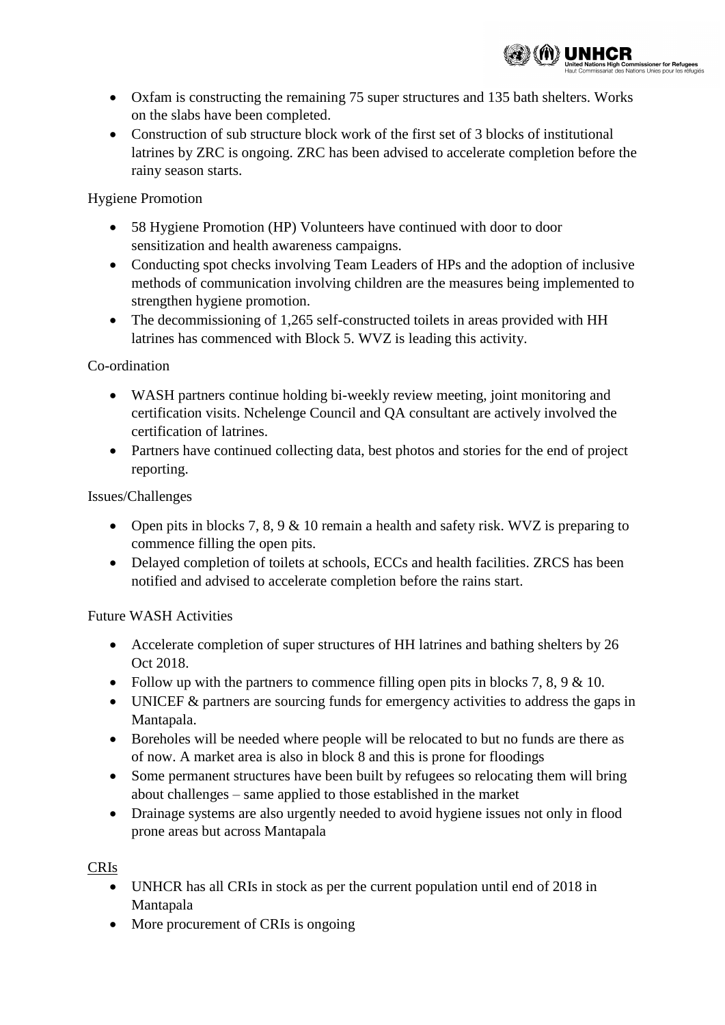

missioner for Refugees

• Construction of sub structure block work of the first set of 3 blocks of institutional latrines by ZRC is ongoing. ZRC has been advised to accelerate completion before the rainy season starts.

Hygiene Promotion

- 58 Hygiene Promotion (HP) Volunteers have continued with door to door sensitization and health awareness campaigns.
- Conducting spot checks involving Team Leaders of HPs and the adoption of inclusive methods of communication involving children are the measures being implemented to strengthen hygiene promotion.
- The decommissioning of 1,265 self-constructed toilets in areas provided with HH latrines has commenced with Block 5. WVZ is leading this activity.

# Co-ordination

- WASH partners continue holding bi-weekly review meeting, joint monitoring and certification visits. Nchelenge Council and QA consultant are actively involved the certification of latrines.
- Partners have continued collecting data, best photos and stories for the end of project reporting.

Issues/Challenges

- Open pits in blocks 7, 8, 9  $\&$  10 remain a health and safety risk. WVZ is preparing to commence filling the open pits.
- Delayed completion of toilets at schools, ECCs and health facilities. ZRCS has been notified and advised to accelerate completion before the rains start.

Future WASH Activities

- Accelerate completion of super structures of HH latrines and bathing shelters by 26 Oct 2018.
- Follow up with the partners to commence filling open pits in blocks 7, 8, 9  $\&$  10.
- UNICEF & partners are sourcing funds for emergency activities to address the gaps in Mantapala.
- Boreholes will be needed where people will be relocated to but no funds are there as of now. A market area is also in block 8 and this is prone for floodings
- Some permanent structures have been built by refugees so relocating them will bring about challenges – same applied to those established in the market
- Drainage systems are also urgently needed to avoid hygiene issues not only in flood prone areas but across Mantapala

CRIs

- UNHCR has all CRIs in stock as per the current population until end of 2018 in Mantapala
- More procurement of CRIs is ongoing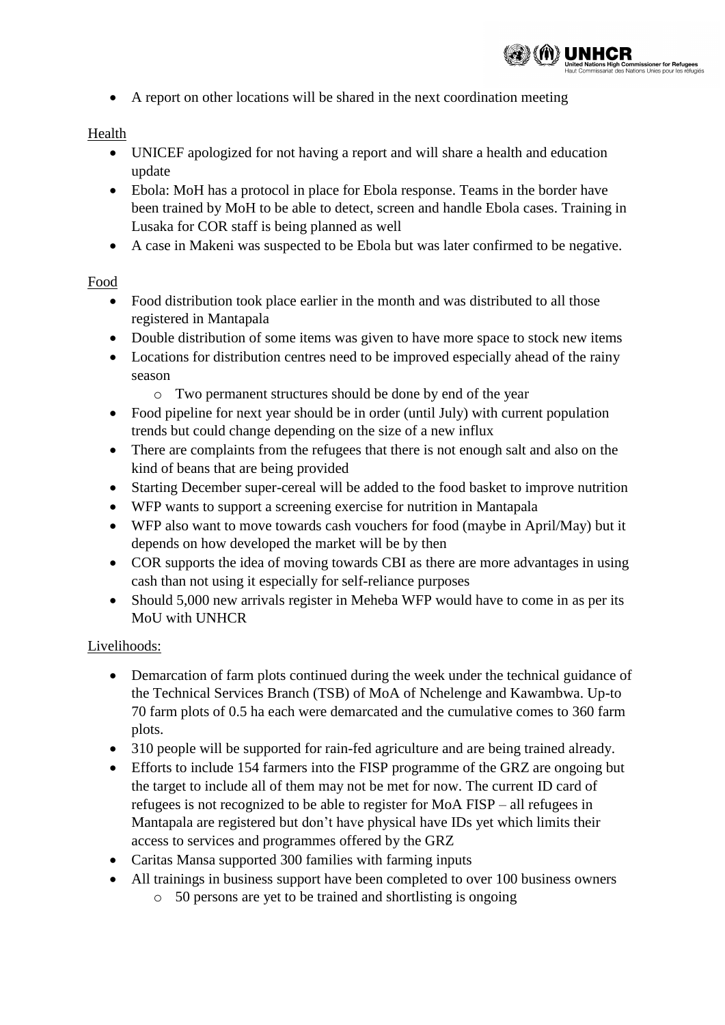

A report on other locations will be shared in the next coordination meeting

### Health

- UNICEF apologized for not having a report and will share a health and education update
- Ebola: MoH has a protocol in place for Ebola response. Teams in the border have been trained by MoH to be able to detect, screen and handle Ebola cases. Training in Lusaka for COR staff is being planned as well
- A case in Makeni was suspected to be Ebola but was later confirmed to be negative.

### Food

- Food distribution took place earlier in the month and was distributed to all those registered in Mantapala
- Double distribution of some items was given to have more space to stock new items
- Locations for distribution centres need to be improved especially ahead of the rainy season
	- o Two permanent structures should be done by end of the year
- Food pipeline for next year should be in order (until July) with current population trends but could change depending on the size of a new influx
- There are complaints from the refugees that there is not enough salt and also on the kind of beans that are being provided
- Starting December super-cereal will be added to the food basket to improve nutrition
- WFP wants to support a screening exercise for nutrition in Mantapala
- WFP also want to move towards cash vouchers for food (maybe in April/May) but it depends on how developed the market will be by then
- COR supports the idea of moving towards CBI as there are more advantages in using cash than not using it especially for self-reliance purposes
- Should 5,000 new arrivals register in Meheba WFP would have to come in as per its MoU with UNHCR

### Livelihoods:

- Demarcation of farm plots continued during the week under the technical guidance of the Technical Services Branch (TSB) of MoA of Nchelenge and Kawambwa. Up-to 70 farm plots of 0.5 ha each were demarcated and the cumulative comes to 360 farm plots.
- 310 people will be supported for rain-fed agriculture and are being trained already.
- Efforts to include 154 farmers into the FISP programme of the GRZ are ongoing but the target to include all of them may not be met for now. The current ID card of refugees is not recognized to be able to register for MoA FISP – all refugees in Mantapala are registered but don't have physical have IDs yet which limits their access to services and programmes offered by the GRZ
- Caritas Mansa supported 300 families with farming inputs
- All trainings in business support have been completed to over 100 business owners
	- o 50 persons are yet to be trained and shortlisting is ongoing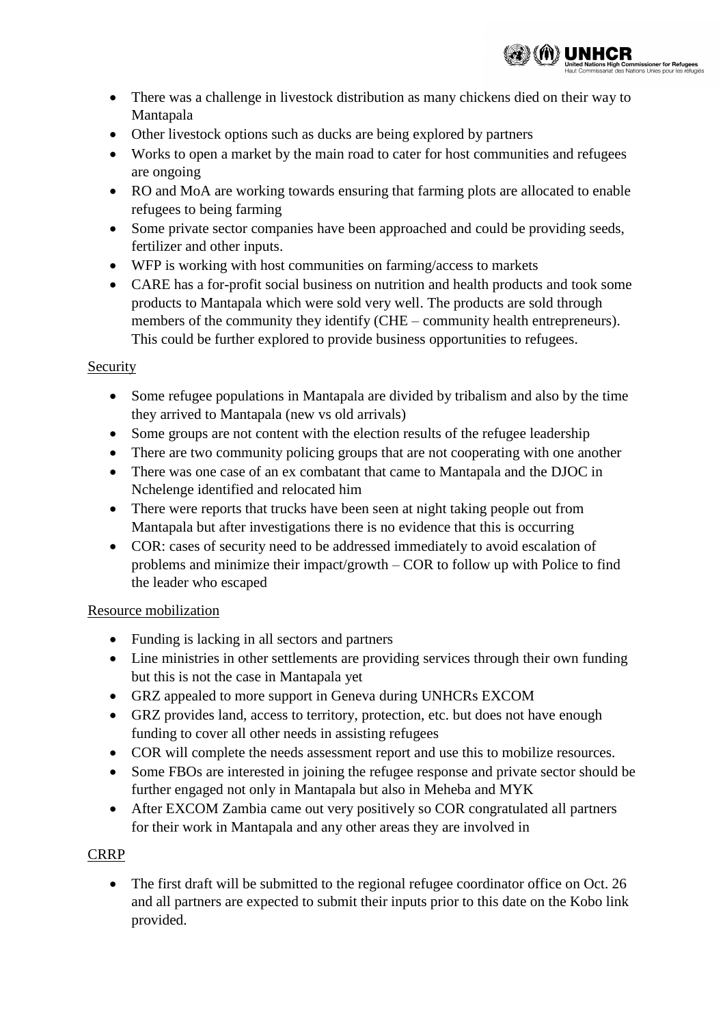

- There was a challenge in livestock distribution as many chickens died on their way to Mantapala
- Other livestock options such as ducks are being explored by partners
- Works to open a market by the main road to cater for host communities and refugees are ongoing
- RO and MoA are working towards ensuring that farming plots are allocated to enable refugees to being farming
- Some private sector companies have been approached and could be providing seeds, fertilizer and other inputs.
- WFP is working with host communities on farming/access to markets
- CARE has a for-profit social business on nutrition and health products and took some products to Mantapala which were sold very well. The products are sold through members of the community they identify (CHE – community health entrepreneurs). This could be further explored to provide business opportunities to refugees.

### Security

- Some refugee populations in Mantapala are divided by tribalism and also by the time they arrived to Mantapala (new vs old arrivals)
- Some groups are not content with the election results of the refugee leadership
- There are two community policing groups that are not cooperating with one another
- There was one case of an ex combatant that came to Mantapala and the DJOC in Nchelenge identified and relocated him
- There were reports that trucks have been seen at night taking people out from Mantapala but after investigations there is no evidence that this is occurring
- COR: cases of security need to be addressed immediately to avoid escalation of problems and minimize their impact/growth – COR to follow up with Police to find the leader who escaped

### Resource mobilization

- Funding is lacking in all sectors and partners
- Line ministries in other settlements are providing services through their own funding but this is not the case in Mantapala yet
- GRZ appealed to more support in Geneva during UNHCRs EXCOM
- GRZ provides land, access to territory, protection, etc. but does not have enough funding to cover all other needs in assisting refugees
- COR will complete the needs assessment report and use this to mobilize resources.
- Some FBOs are interested in joining the refugee response and private sector should be further engaged not only in Mantapala but also in Meheba and MYK
- After EXCOM Zambia came out very positively so COR congratulated all partners for their work in Mantapala and any other areas they are involved in

### CRRP

• The first draft will be submitted to the regional refugee coordinator office on Oct. 26 and all partners are expected to submit their inputs prior to this date on the Kobo link provided.